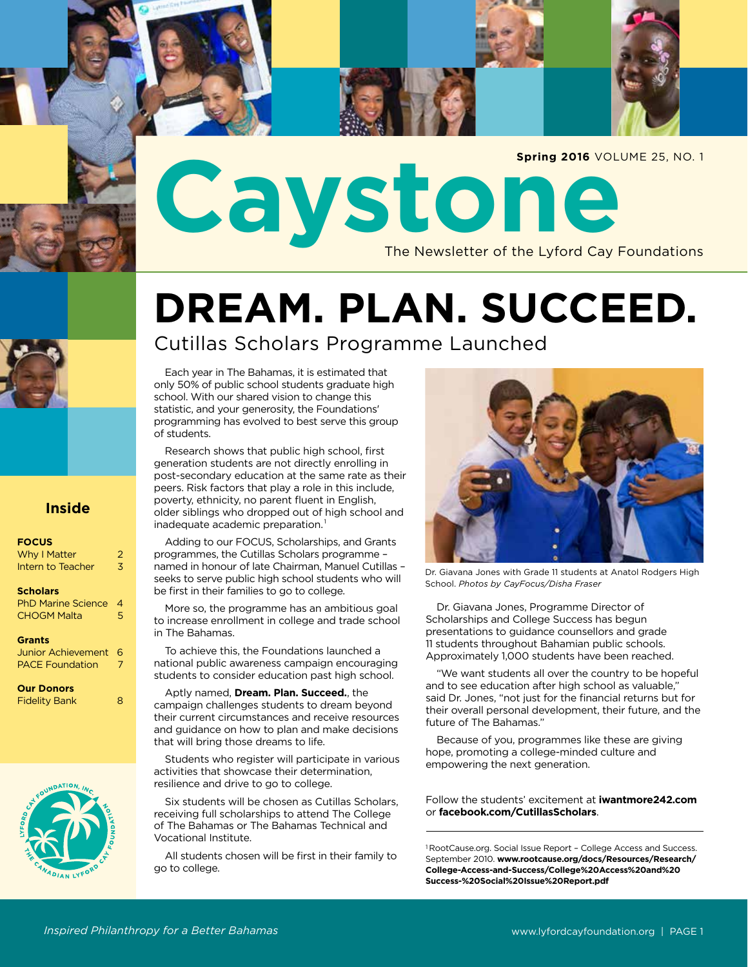Caystone Newsletter of the Lyford Cay Foundations **Spring 2016** VOLUME 25, NO. 1

## **DREAM. PLAN. SUCCEED.**

### Cutillas Scholars Programme Launched

Each year in The Bahamas, it is estimated that only 50% of public school students graduate high school. With our shared vision to change this statistic, and your generosity, the Foundations' programming has evolved to best serve this group of students.

Research shows that public high school, first generation students are not directly enrolling in post-secondary education at the same rate as their peers. Risk factors that play a role in this include, poverty, ethnicity, no parent fluent in English, older siblings who dropped out of high school and inadequate academic preparation.<sup>1</sup>

Adding to our FOCUS, Scholarships, and Grants programmes, the Cutillas Scholars programme – named in honour of late Chairman, Manuel Cutillas – seeks to serve public high school students who will be first in their families to go to college.

More so, the programme has an ambitious goal to increase enrollment in college and trade school in The Bahamas.

To achieve this, the Foundations launched a national public awareness campaign encouraging students to consider education past high school.

Aptly named, **Dream. Plan. Succeed.**, the campaign challenges students to dream beyond their current circumstances and receive resources and guidance on how to plan and make decisions that will bring those dreams to life.

Students who register will participate in various activities that showcase their determination, resilience and drive to go to college.

Six students will be chosen as Cutillas Scholars, receiving full scholarships to attend The College of The Bahamas or The Bahamas Technical and Vocational Institute.

All students chosen will be first in their family to go to college.

Dr. Giavana Jones with Grade 11 students at Anatol Rodgers High School. *Photos by CayFocus/Disha Fraser*

Dr. Giavana Jones, Programme Director of Scholarships and College Success has begun presentations to guidance counsellors and grade 11 students throughout Bahamian public schools. Approximately 1,000 students have been reached.

"We want students all over the country to be hopeful and to see education after high school as valuable," said Dr. Jones, "not just for the financial returns but for their overall personal development, their future, and the future of The Bahamas."

Because of you, programmes like these are giving hope, promoting a college-minded culture and empowering the next generation.

Follow the students' excitement at **iwantmore242.com** or **facebook.com/CutillasScholars**.

<sup>1</sup> RootCause.org. Social Issue Report – College Access and Success. September 2010. **www.rootcause.org/docs/Resources/Research/ College-Access-and-Success/College%20Access%20and%20 Success-%20Social%20Issue%20Report.pdf**



### **Inside**

### **FOCUS**

| Why I Matter                                 | 2 |
|----------------------------------------------|---|
| Intern to Teacher                            | 3 |
| <b>Scholars</b><br><b>PhD Marine Science</b> | 4 |

CHOGM Malta 5

#### **Grants**

Junior Achievement 6 PACE Foundation

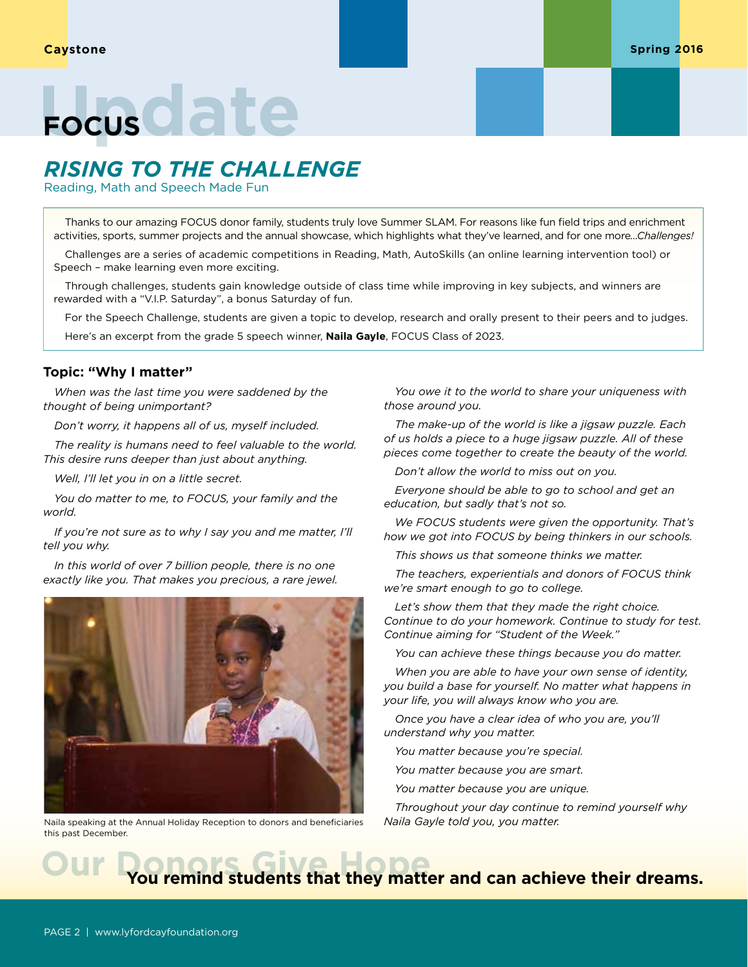## Focus<sup>C</sup>ate

## *RISING TO THE CHALLENGE*

Reading, Math and Speech Made Fun

Thanks to our amazing FOCUS donor family, students truly love Summer SLAM. For reasons like fun field trips and enrichment activities, sports, summer projects and the annual showcase, which highlights what they've learned, and for one more*...Challenges!*

Challenges are a series of academic competitions in Reading, Math, AutoSkills (an online learning intervention tool) or Speech – make learning even more exciting.

Through challenges, students gain knowledge outside of class time while improving in key subjects, and winners are rewarded with a "V.I.P. Saturday", a bonus Saturday of fun.

For the Speech Challenge, students are given a topic to develop, research and orally present to their peers and to judges. Here's an excerpt from the grade 5 speech winner, **Naila Gayle**, FOCUS Class of 2023.

### **Topic: "Why I matter"**

*When was the last time you were saddened by the thought of being unimportant?* 

*Don't worry, it happens all of us, myself included.* 

*The reality is humans need to feel valuable to the world. This desire runs deeper than just about anything.* 

*Well, I'll let you in on a little secret.* 

*You do matter to me, to FOCUS, your family and the world.* 

*If you're not sure as to why I say you and me matter, I'll tell you why.* 

*In this world of over 7 billion people, there is no one exactly like you. That makes you precious, a rare jewel.* 



Naila speaking at the Annual Holiday Reception to donors and beneficiaries this past December.

*You owe it to the world to share your uniqueness with those around you.* 

*The make-up of the world is like a jigsaw puzzle. Each of us holds a piece to a huge jigsaw puzzle. All of these pieces come together to create the beauty of the world.*

*Don't allow the world to miss out on you.*

*Everyone should be able to go to school and get an education, but sadly that's not so.* 

*We FOCUS students were given the opportunity. That's how we got into FOCUS by being thinkers in our schools.* 

*This shows us that someone thinks we matter.* 

*The teachers, experientials and donors of FOCUS think we're smart enough to go to college.*

*Let's show them that they made the right choice. Continue to do your homework. Continue to study for test. Continue aiming for "Student of the Week."* 

*You can achieve these things because you do matter.* 

*When you are able to have your own sense of identity, you build a base for yourself. No matter what happens in your life, you will always know who you are.* 

*Once you have a clear idea of who you are, you'll understand why you matter.* 

*You matter because you're special.* 

*You matter because you are smart.* 

*You matter because you are unique.* 

*Throughout your day continue to remind yourself why Naila Gayle told you, you matter.*

## **Our Provisions Students that they matter and can achieve their dreams.**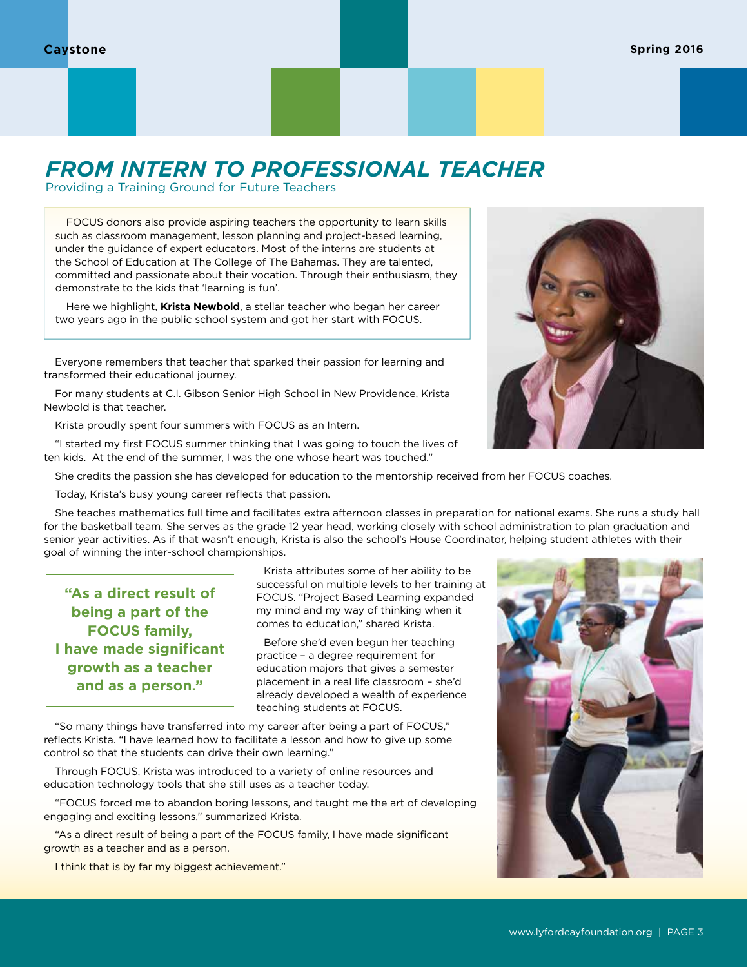## *FROM INTERN TO PROFESSIONAL TEACHER*

Providing a Training Ground for Future Teachers

FOCUS donors also provide aspiring teachers the opportunity to learn skills such as classroom management, lesson planning and project-based learning, under the guidance of expert educators. Most of the interns are students at the School of Education at The College of The Bahamas. They are talented, committed and passionate about their vocation. Through their enthusiasm, they demonstrate to the kids that 'learning is fun'.

Here we highlight, **Krista Newbold**, a stellar teacher who began her career two years ago in the public school system and got her start with FOCUS.

Everyone remembers that teacher that sparked their passion for learning and transformed their educational journey.

For many students at C.I. Gibson Senior High School in New Providence, Krista Newbold is that teacher.

Krista proudly spent four summers with FOCUS as an Intern.

"I started my first FOCUS summer thinking that I was going to touch the lives of ten kids. At the end of the summer, I was the one whose heart was touched."

She credits the passion she has developed for education to the mentorship received from her FOCUS coaches.

Today, Krista's busy young career reflects that passion.

She teaches mathematics full time and facilitates extra afternoon classes in preparation for national exams. She runs a study hall for the basketball team. She serves as the grade 12 year head, working closely with school administration to plan graduation and senior year activities. As if that wasn't enough, Krista is also the school's House Coordinator, helping student athletes with their goal of winning the inter-school championships.

**"As a direct result of being a part of the FOCUS family, I have made significant growth as a teacher and as a person."**

Krista attributes some of her ability to be successful on multiple levels to her training at FOCUS. "Project Based Learning expanded my mind and my way of thinking when it comes to education," shared Krista.

Before she'd even begun her teaching practice – a degree requirement for education majors that gives a semester placement in a real life classroom – she'd already developed a wealth of experience teaching students at FOCUS.

"So many things have transferred into my career after being a part of FOCUS," reflects Krista. "I have learned how to facilitate a lesson and how to give up some control so that the students can drive their own learning."

Through FOCUS, Krista was introduced to a variety of online resources and education technology tools that she still uses as a teacher today.

"FOCUS forced me to abandon boring lessons, and taught me the art of developing engaging and exciting lessons," summarized Krista.

"As a direct result of being a part of the FOCUS family, I have made significant growth as a teacher and as a person.

I think that is by far my biggest achievement."



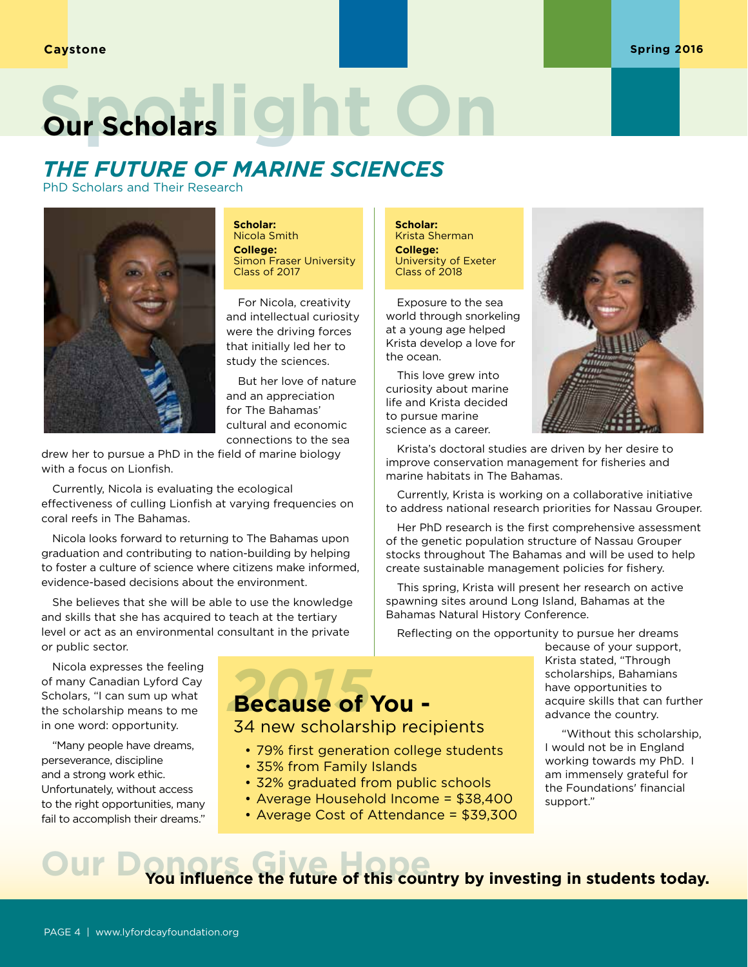# **Our Scholars** On **One**

## *THE FUTURE OF MARINE SCIENCES*

PhD Scholars and Their Research



**Scholar:**  Nicola Smith **College:**  Simon Fraser University Class of 2017

For Nicola, creativity and intellectual curiosity were the driving forces that initially led her to study the sciences.

But her love of nature and an appreciation for The Bahamas' cultural and economic connections to the sea

drew her to pursue a PhD in the field of marine biology with a focus on Lionfish.

Currently, Nicola is evaluating the ecological effectiveness of culling Lionfish at varying frequencies on coral reefs in The Bahamas.

Nicola looks forward to returning to The Bahamas upon graduation and contributing to nation-building by helping to foster a culture of science where citizens make informed, evidence-based decisions about the environment.

She believes that she will be able to use the knowledge and skills that she has acquired to teach at the tertiary level or act as an environmental consultant in the private or public sector.

Nicola expresses the feeling of many Canadian Lyford Cay Scholars, "I can sum up what the scholarship means to me in one word: opportunity.

"Many people have dreams, perseverance, discipline and a strong work ethic. Unfortunately, without access to the right opportunities, many fail to accomplish their dreams."

**Scholar:**  Krista Sherman **College:** University of Exeter Class of 2018

Exposure to the sea world through snorkeling at a young age helped Krista develop a love for the ocean.

This love grew into curiosity about marine life and Krista decided to pursue marine science as a career.



Krista's doctoral studies are driven by her desire to improve conservation management for fisheries and marine habitats in The Bahamas.

Currently, Krista is working on a collaborative initiative to address national research priorities for Nassau Grouper.

Her PhD research is the first comprehensive assessment of the genetic population structure of Nassau Grouper stocks throughout The Bahamas and will be used to help create sustainable management policies for fishery.

This spring, Krista will present her research on active spawning sites around Long Island, Bahamas at the Bahamas Natural History Conference.

Reflecting on the opportunity to pursue her dreams

## *2015* **Because of You -**

34 new scholarship recipients

- 79% first generation college students
- 35% from Family Islands
- 32% graduated from public schools
- Average Household Income = \$38,400
- Average Cost of Attendance = \$39,300

because of your support, Krista stated, "Through scholarships, Bahamians have opportunities to acquire skills that can further advance the country.

"Without this scholarship, I would not be in England working towards my PhD. I am immensely grateful for the Foundations' financial support."

## **OUR DONORGE THE FULL STATE OF STATE OF STATE IN A POWERFERENCE THE THEORY OF THE YOU Influence the future of this country by investing in students today.**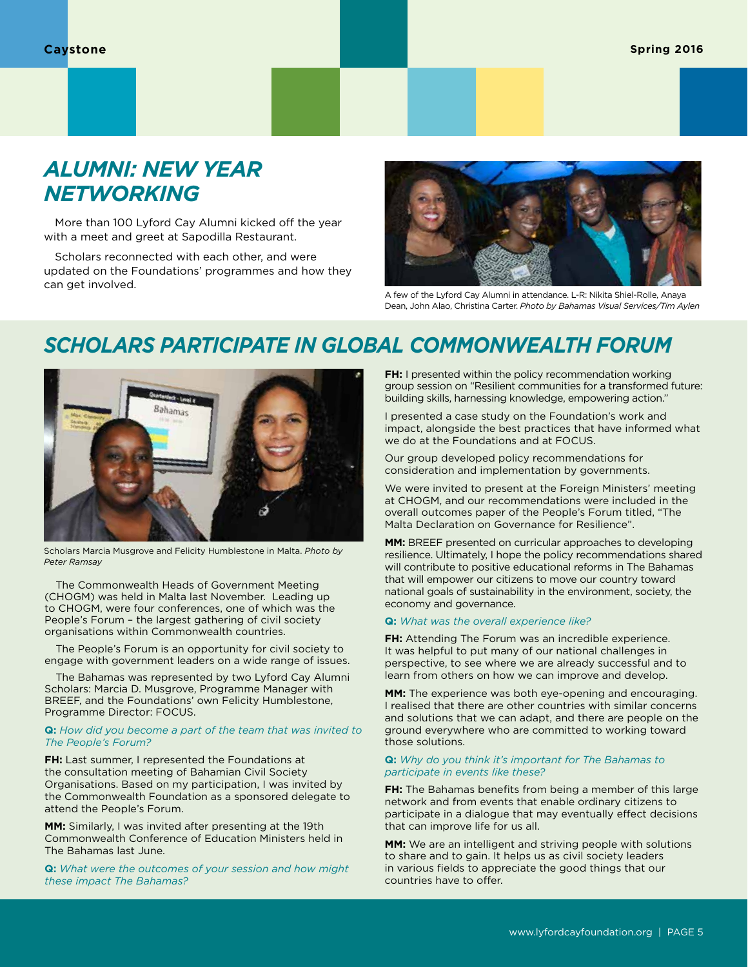## *ALUMNI: NEW YEAR NETWORKING*

More than 100 Lyford Cay Alumni kicked off the year with a meet and greet at Sapodilla Restaurant.

Scholars reconnected with each other, and were updated on the Foundations' programmes and how they can get involved.



A few of the Lyford Cay Alumni in attendance. L-R: Nikita Shiel-Rolle, Anaya Dean, John Alao, Christina Carter. *Photo by Bahamas Visual Services/Tim Aylen*

## *SCHOLARS PARTICIPATE IN GLOBAL COMMONWEALTH FORUM*



Scholars Marcia Musgrove and Felicity Humblestone in Malta. *Photo by Peter Ramsay*

The Commonwealth Heads of Government Meeting (CHOGM) was held in Malta last November. Leading up to CHOGM, were four conferences, one of which was the People's Forum – the largest gathering of civil society organisations within Commonwealth countries.

The People's Forum is an opportunity for civil society to engage with government leaders on a wide range of issues.

The Bahamas was represented by two Lyford Cay Alumni Scholars: Marcia D. Musgrove, Programme Manager with BREEF, and the Foundations' own Felicity Humblestone, Programme Director: FOCUS.

#### **Q:** *How did you become a part of the team that was invited to The People's Forum?*

**FH:** Last summer, I represented the Foundations at the consultation meeting of Bahamian Civil Society Organisations. Based on my participation, I was invited by the Commonwealth Foundation as a sponsored delegate to attend the People's Forum.

**MM:** Similarly, I was invited after presenting at the 19th Commonwealth Conference of Education Ministers held in The Bahamas last June.

**Q:** *What were the outcomes of your session and how might these impact The Bahamas?*

**FH:** I presented within the policy recommendation working group session on "Resilient communities for a transformed future: building skills, harnessing knowledge, empowering action."

I presented a case study on the Foundation's work and impact, alongside the best practices that have informed what we do at the Foundations and at FOCUS.

Our group developed policy recommendations for consideration and implementation by governments.

We were invited to present at the Foreign Ministers' meeting at CHOGM, and our recommendations were included in the overall outcomes paper of the People's Forum titled, "The Malta Declaration on Governance for Resilience".

**MM:** BREEF presented on curricular approaches to developing resilience. Ultimately, I hope the policy recommendations shared will contribute to positive educational reforms in The Bahamas that will empower our citizens to move our country toward national goals of sustainability in the environment, society, the economy and governance.

#### **Q:** *What was the overall experience like?*

**FH:** Attending The Forum was an incredible experience. It was helpful to put many of our national challenges in perspective, to see where we are already successful and to learn from others on how we can improve and develop.

**MM:** The experience was both eye-opening and encouraging. I realised that there are other countries with similar concerns and solutions that we can adapt, and there are people on the ground everywhere who are committed to working toward those solutions.

#### **Q:** *Why do you think it's important for The Bahamas to participate in events like these?*

**FH:** The Bahamas benefits from being a member of this large network and from events that enable ordinary citizens to participate in a dialogue that may eventually effect decisions that can improve life for us all.

**MM:** We are an intelligent and striving people with solutions to share and to gain. It helps us as civil society leaders in various fields to appreciate the good things that our countries have to offer.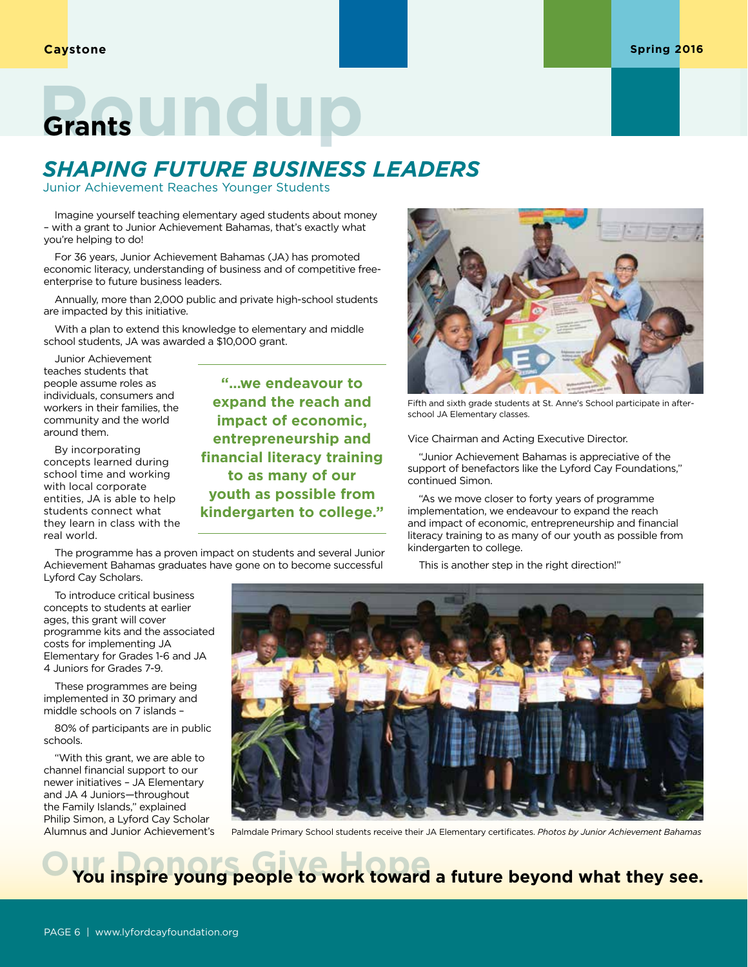## **Grants Undup**

## *SHAPING FUTURE BUSINESS LEADERS*

Junior Achievement Reaches Younger Students

Imagine yourself teaching elementary aged students about money – with a grant to Junior Achievement Bahamas, that's exactly what you're helping to do!

For 36 years, Junior Achievement Bahamas (JA) has promoted economic literacy, understanding of business and of competitive freeenterprise to future business leaders.

Annually, more than 2,000 public and private high-school students are impacted by this initiative.

With a plan to extend this knowledge to elementary and middle school students, JA was awarded a \$10,000 grant.

Junior Achievement teaches students that people assume roles as individuals, consumers and workers in their families, the community and the world around them.

By incorporating concepts learned during school time and working with local corporate entities, JA is able to help students connect what they learn in class with the real world.

**"…we endeavour to expand the reach and impact of economic, entrepreneurship and financial literacy training to as many of our youth as possible from kindergarten to college."**

The programme has a proven impact on students and several Junior Achievement Bahamas graduates have gone on to become successful Lyford Cay Scholars.



Fifth and sixth grade students at St. Anne's School participate in afterschool JA Elementary classes.

Vice Chairman and Acting Executive Director.

"Junior Achievement Bahamas is appreciative of the support of benefactors like the Lyford Cay Foundations," continued Simon.

"As we move closer to forty years of programme implementation, we endeavour to expand the reach and impact of economic, entrepreneurship and financial literacy training to as many of our youth as possible from kindergarten to college.

This is another step in the right direction!"

To introduce critical business concepts to students at earlier ages, this grant will cover programme kits and the associated costs for implementing JA Elementary for Grades 1-6 and JA 4 Juniors for Grades 7-9.

These programmes are being implemented in 30 primary and middle schools on 7 islands –

80% of participants are in public schools.

"With this grant, we are able to channel financial support to our newer initiatives – JA Elementary and JA 4 Juniors—throughout the Family Islands," explained Philip Simon, a Lyford Cay Scholar Alumnus and Junior Achievement's



Palmdale Primary School students receive their JA Elementary certificates. *Photos by Junior Achievement Bahamas*

You inspire young people to work toward a future beyond what they see.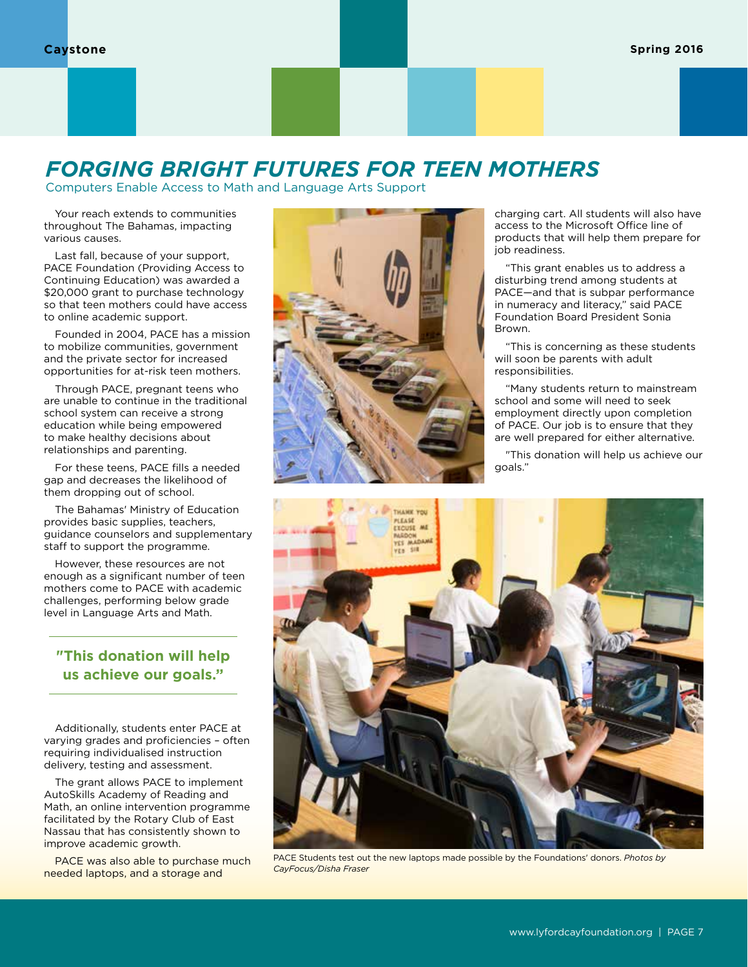## *FORGING BRIGHT FUTURES FOR TEEN MOTHERS*

Computers Enable Access to Math and Language Arts Support

Your reach extends to communities throughout The Bahamas, impacting various causes.

Last fall, because of your support, PACE Foundation (Providing Access to Continuing Education) was awarded a \$20,000 grant to purchase technology so that teen mothers could have access to online academic support.

Founded in 2004, PACE has a mission to mobilize communities, government and the private sector for increased opportunities for at-risk teen mothers.

Through PACE, pregnant teens who are unable to continue in the traditional school system can receive a strong education while being empowered to make healthy decisions about relationships and parenting.

For these teens, PACE fills a needed gap and decreases the likelihood of them dropping out of school.

The Bahamas' Ministry of Education provides basic supplies, teachers, guidance counselors and supplementary staff to support the programme.

However, these resources are not enough as a significant number of teen mothers come to PACE with academic challenges, performing below grade level in Language Arts and Math.

### **"This donation will help us achieve our goals."**

Additionally, students enter PACE at varying grades and proficiencies – often requiring individualised instruction delivery, testing and assessment.

The grant allows PACE to implement AutoSkills Academy of Reading and Math, an online intervention programme facilitated by the Rotary Club of East Nassau that has consistently shown to improve academic growth.

PACE was also able to purchase much needed laptops, and a storage and



charging cart. All students will also have access to the Microsoft Office line of products that will help them prepare for job readiness.

"This grant enables us to address a disturbing trend among students at PACE—and that is subpar performance in numeracy and literacy," said PACE Foundation Board President Sonia Brown.

"This is concerning as these students will soon be parents with adult responsibilities.

"Many students return to mainstream school and some will need to seek employment directly upon completion of PACE. Our job is to ensure that they are well prepared for either alternative.

"This donation will help us achieve our goals."



PACE Students test out the new laptops made possible by the Foundations' donors. *Photos by CayFocus/Disha Fraser*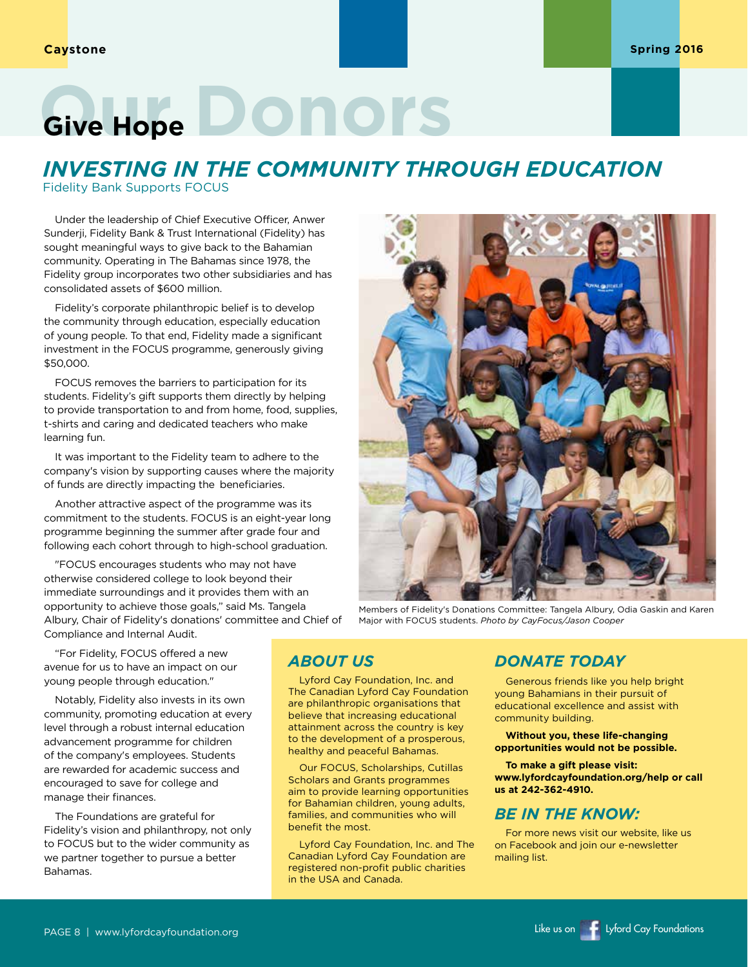## Give Hope **DONOYS**

## *INVESTING IN THE COMMUNITY THROUGH EDUCATION*

Fidelity Bank Supports FOCUS

Under the leadership of Chief Executive Officer, Anwer Sunderji, Fidelity Bank & Trust International (Fidelity) has sought meaningful ways to give back to the Bahamian community. Operating in The Bahamas since 1978, the Fidelity group incorporates two other subsidiaries and has consolidated assets of \$600 million.

Fidelity's corporate philanthropic belief is to develop the community through education, especially education of young people. To that end, Fidelity made a significant investment in the FOCUS programme, generously giving \$50,000.

FOCUS removes the barriers to participation for its students. Fidelity's gift supports them directly by helping to provide transportation to and from home, food, supplies, t-shirts and caring and dedicated teachers who make learning fun.

It was important to the Fidelity team to adhere to the company's vision by supporting causes where the majority of funds are directly impacting the beneficiaries.

Another attractive aspect of the programme was its commitment to the students. FOCUS is an eight-year long programme beginning the summer after grade four and following each cohort through to high-school graduation.

"FOCUS encourages students who may not have otherwise considered college to look beyond their immediate surroundings and it provides them with an opportunity to achieve those goals," said Ms. Tangela Albury, Chair of Fidelity's donations' committee and Chief of Compliance and Internal Audit.

"For Fidelity, FOCUS offered a new avenue for us to have an impact on our young people through education."

Notably, Fidelity also invests in its own community, promoting education at every level through a robust internal education advancement programme for children of the company's employees. Students are rewarded for academic success and encouraged to save for college and manage their finances.

The Foundations are grateful for Fidelity's vision and philanthropy, not only to FOCUS but to the wider community as we partner together to pursue a better Bahamas.

### *ABOUT US*

Lyford Cay Foundation, Inc. and The Canadian Lyford Cay Foundation are philanthropic organisations that believe that increasing educational attainment across the country is key to the development of a prosperous, healthy and peaceful Bahamas.

Our FOCUS, Scholarships, Cutillas Scholars and Grants programmes aim to provide learning opportunities for Bahamian children, young adults, families, and communities who will benefit the most.

Lyford Cay Foundation, Inc. and The Canadian Lyford Cay Foundation are registered non-profit public charities in the USA and Canada.

### *DONATE TODAY*

Major with FOCUS students. *Photo by CayFocus/Jason Cooper*

Generous friends like you help bright young Bahamians in their pursuit of educational excellence and assist with community building.

**Without you, these life-changing opportunities would not be possible.** 

**To make a gift please visit: www.lyfordcayfoundation.org/help or call us at 242-362-4910.**

### *BE IN THE KNOW:*

For more news visit our website, like us on Facebook and join our e-newsletter mailing list.

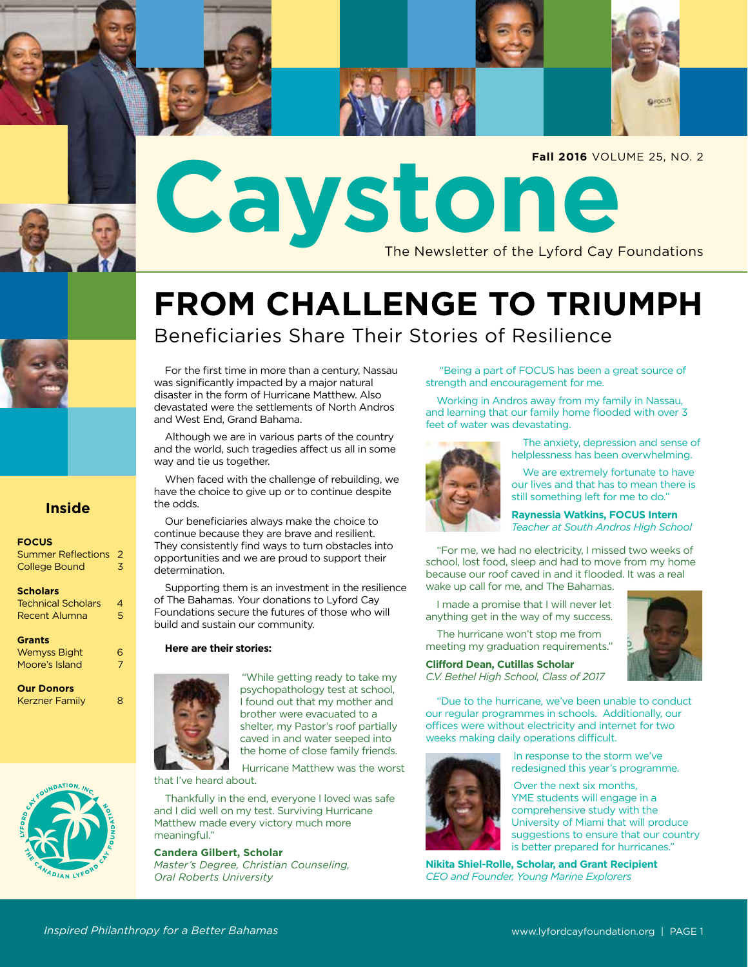

## **FROM CHALLENGE TO TRIUMPH** Beneficiaries Share Their Stories of Resilience

For the first time in more than a century, Nassau was significantly impacted by a major natural disaster in the form of Hurricane Matthew. Also devastated were the settlements of North Andros and West End, Grand Bahama.

Although we are in various parts of the country and the world, such tragedies affect us all in some way and tie us together.

When faced with the challenge of rebuilding, we have the choice to give up or to continue despite the odds.

Our beneficiaries always make the choice to continue because they are brave and resilient. They consistently find ways to turn obstacles into opportunities and we are proud to support their determination.

Supporting them is an investment in the resilience of The Bahamas. Your donations to Lyford Cay Foundations secure the futures of those who will build and sustain our community.

#### **Here are their stories:**



**FOCUS**

**Scholars**

**Grants**

**Our Donors**

Summer Reflections 2 College Bound 3

**Inside**

Technical Scholars 4 Recent Alumna 5

Wemyss Bight 6 Moore's Island 7

Kerzner Family 8

"While getting ready to take my psychopathology test at school, I found out that my mother and brother were evacuated to a shelter, my Pastor's roof partially caved in and water seeped into the home of close family friends.

Hurricane Matthew was the worst that I've heard about.

Thankfully in the end, everyone I loved was safe and I did well on my test. Surviving Hurricane Matthew made every victory much more meaningful."

**Candera Gilbert, Scholar**

*Master's Degree, Christian Counseling, Oral Roberts University*

 "Being a part of FOCUS has been a great source of strength and encouragement for me.

Working in Andros away from my family in Nassau, and learning that our family home flooded with over 3 feet of water was devastating.



 The anxiety, depression and sense of helplessness has been overwhelming.

 We are extremely fortunate to have our lives and that has to mean there is still something left for me to do."

**Raynessia Watkins, FOCUS Intern** *Teacher at South Andros High School*

 "For me, we had no electricity, I missed two weeks of school, lost food, sleep and had to move from my home because our roof caved in and it flooded. It was a real wake up call for me, and The Bahamas.

I made a promise that I will never let anything get in the way of my success.



**Clifford Dean, Cutillas Scholar** *C.V. Bethel High School, Class of 2017*

**Qrocus** 

 "Due to the hurricane, we've been unable to conduct our regular programmes in schools. Additionally, our offices were without electricity and internet for two weeks making daily operations difficult.



In response to the storm we've redesigned this year's programme.

Over the next six months, YME students will engage in a comprehensive study with the University of Miami that will produce suggestions to ensure that our country is better prepared for hurricanes."

**Nikita Shiel-Rolle, Scholar, and Grant Recipient** *CEO and Founder, Young Marine Explorers*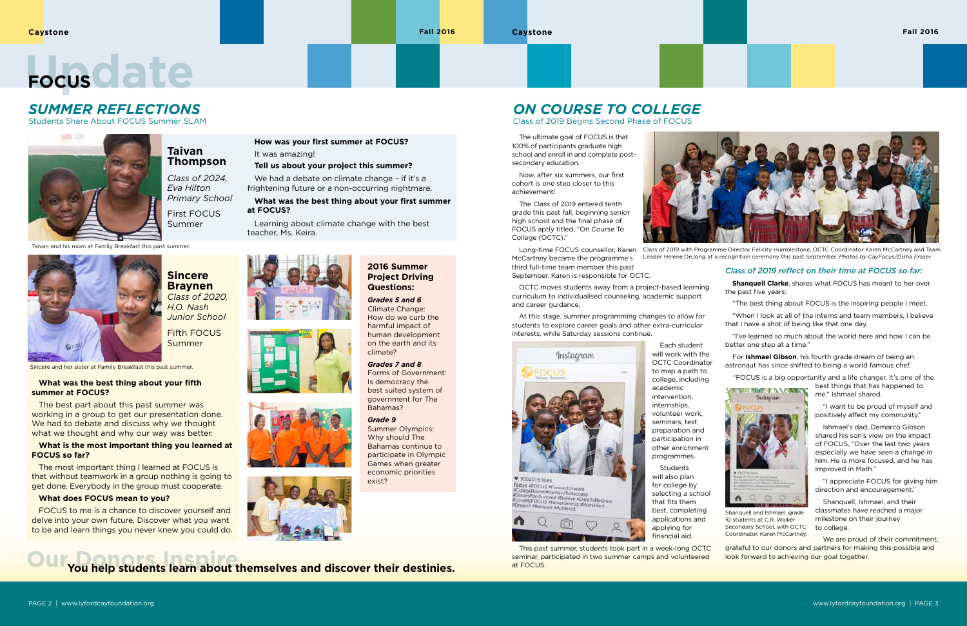The ultimate goal of FOCUS is that 100% of participants graduate high school and enroll in and complete postsecondary education.

Now, after six summers, our first cohort is one step closer to this achievement!

The Class of 2019 entered tenth grade this past fall, beginning senior high school and the final phase of FOCUS aptly titled, "On Course To College (OCTC)."

Long-time FOCUS counsellor, Karen McCartney became the programme's third full-time team member this past September. Karen is responsible for OCTC.



**Students** will also plan for college by selecting a school that fits them best, completing applications and applying for financial aid.

OCTC moves students away from a project-based learning curriculum to individualised counseling, academic support and career guidance.

At this stage, summer programming changes to allow for students to explore career goals and other extra-curricular interests, while Saturday sessions continue.



Each student

will work with the OCTC Coordinator to map a path to college, including academic intervention, internships, volunteer work, seminars, test preparation and participation in other enrichment programmes.

This past summer, students took part in a week-long OCTC seminar, participated in two summer camps and volunteered at FOCUS.

### *Class of 2019 reflect on their time at FOCUS so far:*

**Our Donors Inspire You help students learn about themselves and discover their destinies.** 

**Shanquell Clarke**, shares what FOCUS has meant to her over the past five years:

"The best thing about FOCUS is the inspiring people I meet.

"When I look at all of the interns and team members, I believe that I have a shot of being like that one day.



Shanquell and Ishmael, grade 10 students at C.R. Walker Secondary School, with OCTC Coordinator, Karen McCartney.

"I've learned so much about the world here and how I can be better one step at a time."

For **Ishmael Gibson**, his fourth grade dream of being an astronaut has since shifted to being a world famous chef.

"FOCUS is a big opportunity and a life changer. It's one of the

The best part about this past summer was working in a group to get our presentation done. We had to debate and discuss why we thought what we thought and why our way was better.

best things that has happened to me." Ishmael shared.

 "I want to be proud of myself and positively affect my community."

 Ishmael's dad, Demarco Gibson shared his son's view on the impact of FOCUS, "Over the last two years especially we have seen a change in him. He is more focused, and he has improved in Math."

 "I appreciate FOCUS for giving him direction and encouragement."

We had a debate on climate change - if it's a frightening future or a non-occurring nightmare.

> Shanquell, Ishmael, and their classmates have reached a major milestone on their journey to college.

 We are proud of their commitment, grateful to our donors and partners for making this possible and look forward to achieving our goal together.

## *ON COURSE TO COLLEGE*

Class of 2019 Begins Second Phase of FOCUS

## Focus C at e

## *SUMMER REFLECTIONS*

Students Share About FOCUS Summer SLAM



Class of 2019 with Programme Director Felicity Humblestone, OCTC Coordinator Karen McCartney and Team Leader Helene DeJong at a recognition ceremony this past September. *Photos by CayFocus/Disha Fraser*

**Sincere Braynen** *Class of 2020, H.O. Nash Junior School*

Fifth FOCUS Summer

### **Taivan Thompson**

*Class of 2024, Eva Hilton Primary School*

First FOCUS Summer

van and his mom at Family Breakfast this past summer.



### **2016 Summer Project Driving Questions:**

*Grades 5 and 6* Climate Change: How do we curb the harmful impact of human development on the earth and its climate?

#### *Grades 7 and 8* Forms of Government: Is democracy the

best suited system of government for The Bahamas?

### *Grade 9*

Summer Olympics: Why should The Bahamas continue to participate in Olympic Games when greater economic priorities exist?

### **What was the best thing about your fifth summer at FOCUS?**

### **What is the most important thing you learned at FOCUS so far?**

The most important thing I learned at FOCUS is that without teamwork in a group nothing is going to get done. Everybody in the group must cooperate.

### **What does FOCUS mean to you?**

FOCUS to me is a chance to discover yourself and delve into your own future. Discover what you want to be and learn things you never knew you could do.

Sincere and her sister at Family Breakfast this past summer.

### **How was your first summer at FOCUS?** It was amazing!

### **Tell us about your project this summer?**

 **What was the best thing about your first summer at FOCUS?**

Learning about climate change with the best teacher, Ms. Keira.







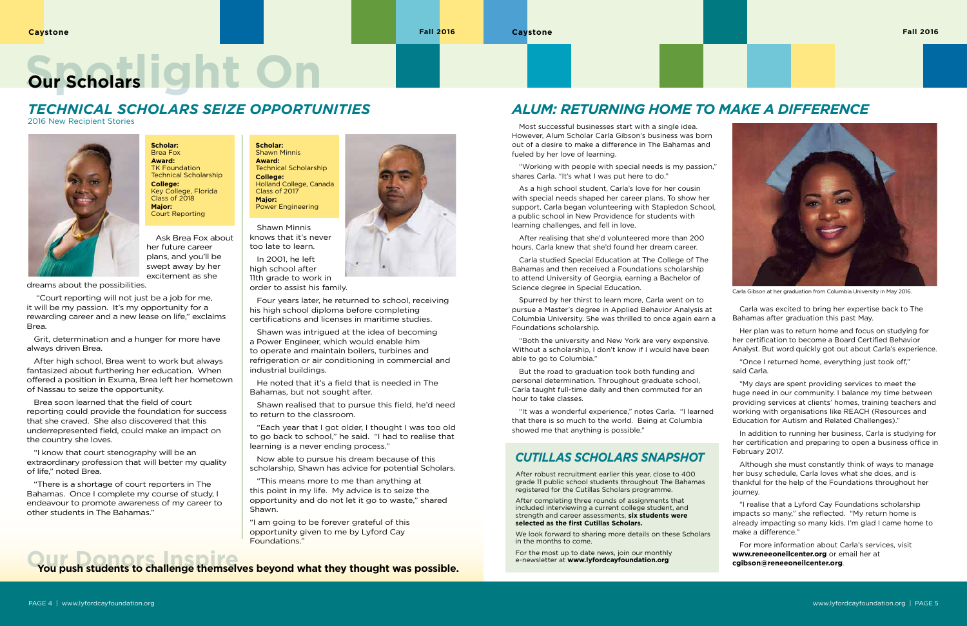Most successful businesses start with a single idea. However, Alum Scholar Carla Gibson's business was born out of a desire to make a difference in The Bahamas and fueled by her love of learning.

"Working with people with special needs is my passion," shares Carla. "It's what I was put here to do."

As a high school student, Carla's love for her cousin with special needs shaped her career plans. To show her support, Carla began volunteering with Stapledon School, a public school in New Providence for students with learning challenges, and fell in love.

After realising that she'd volunteered more than 200 hours, Carla knew that she'd found her dream career.

Carla studied Special Education at The College of The Bahamas and then received a Foundations scholarship to attend University of Georgia, earning a Bachelor of Science degree in Special Education.

Spurred by her thirst to learn more, Carla went on to pursue a Master's degree in Applied Behavior Analysis at Columbia University. She was thrilled to once again earn a Foundations scholarship.

"Both the university and New York are very expensive. Without a scholarship, I don't know if I would have been able to go to Columbia."

But the road to graduation took both funding and personal determination. Throughout graduate school, Carla taught full-time daily and then commuted for an hour to take classes.

"It was a wonderful experience," notes Carla. "I learned that there is so much to the world. Being at Columbia showed me that anything is possible."

Carla was excited to bring her expertise back to The Bahamas after graduation this past May.

Her plan was to return home and focus on studying for her certification to become a Board Certified Behavior Analyst. But word quickly got out about Carla's experience.

"Once I returned home, everything just took off," said Carla.

"My days are spent providing services to meet the huge need in our community. I balance my time between providing services at clients' homes, training teachers and working with organisations like REACH (Resources and Education for Autism and Related Challenges)."

In addition to running her business, Carla is studying for her certification and preparing to open a business office in February 2017.

Although she must constantly think of ways to manage her busy schedule, Carla loves what she does, and is thankful for the help of the Foundations throughout her journey.

"I realise that a Lyford Cay Foundations scholarship impacts so many," she reflected. "My return home is already impacting so many kids. I'm glad I came home to make a difference."

For more information about Carla's services, visit **www.reneeoneilcenter.org** or email her at **cgibson@reneeoneilcenter.org**.

After robust recruitment earlier this year, close to 400 grade 11 public school students throughout The Bahamas registered for the Cutillas Scholars programme.

After completing three rounds of assignments that included interviewing a current college student, and strength and career assessments, **six students were selected as the first Cutillas Scholars.**

We look forward to sharing more details on these Scholars in the months to come.

For the most up to date news, join our monthly e-newsletter at **www.lyfordcayfoundation.org**

### *CUTILLAS SCHOLARS SNAPSHOT*



# **Spotlight On Our Scholars**

## *TECHNICAL SCHOLARS SEIZE OPPORTUNITIES*

2016 New Recipient Stories



 Ask Brea Fox about her future career plans, and you'll be swept away by her excitement as she

dreams about the possibilities.

 "Court reporting will not just be a job for me, it will be my passion. It's my opportunity for a rewarding career and a new lease on life," exclaims Brea.

Grit, determination and a hunger for more have always driven Brea.

After high school, Brea went to work but always fantasized about furthering her education. When offered a position in Exuma, Brea left her hometown of Nassau to seize the opportunity.

Brea soon learned that the field of court reporting could provide the foundation for success that she craved. She also discovered that this underrepresented field, could make an impact on the country she loves.

"I know that court stenography will be an extraordinary profession that will better my quality of life," noted Brea.

"There is a shortage of court reporters in The Bahamas. Once I complete my course of study, I endeavour to promote awareness of my career to other students in The Bahamas."

**Scholar:** Brea Fox **Award: TK Foundation** Technical Scholarship **College:** Key College, Florida Class of 2018 **Major:** Court Reporting

> Shawn Minnis knows that it's never too late to learn.

In 2001, he left high school after 11th grade to work in order to assist his family.

Four years later, he returned to school, receiving his high school diploma before completing certifications and licenses in maritime studies.

Shawn was intrigued at the idea of becoming a Power Engineer, which would enable him to operate and maintain boilers, turbines and refrigeration or air conditioning in commercial and industrial buildings.

He noted that it's a field that is needed in The Bahamas, but not sought after.

Shawn realised that to pursue this field, he'd need to return to the classroom.

"Each year that I got older, I thought I was too old to go back to school," he said. "I had to realise that learning is a never ending process."

Now able to pursue his dream because of this scholarship, Shawn has advice for potential Scholars.

"This means more to me than anything at this point in my life. My advice is to seize the opportunity and do not let it go to waste," shared Shawn.

"I am going to be forever grateful of this opportunity given to me by Lyford Cay Foundations."

**Our Donors Inspire You push students to challenge themselves beyond what they thought was possible.**



Carla Gibson at her graduation from Columbia University in May 2016.

**Scholar:** Shawn Minnis **Award:** Technical Scholarship **College:** Holland College, Canada Class of 2017 **Major:** Power Engineering

## *ALUM: RETURNING HOME TO MAKE A DIFFERENCE*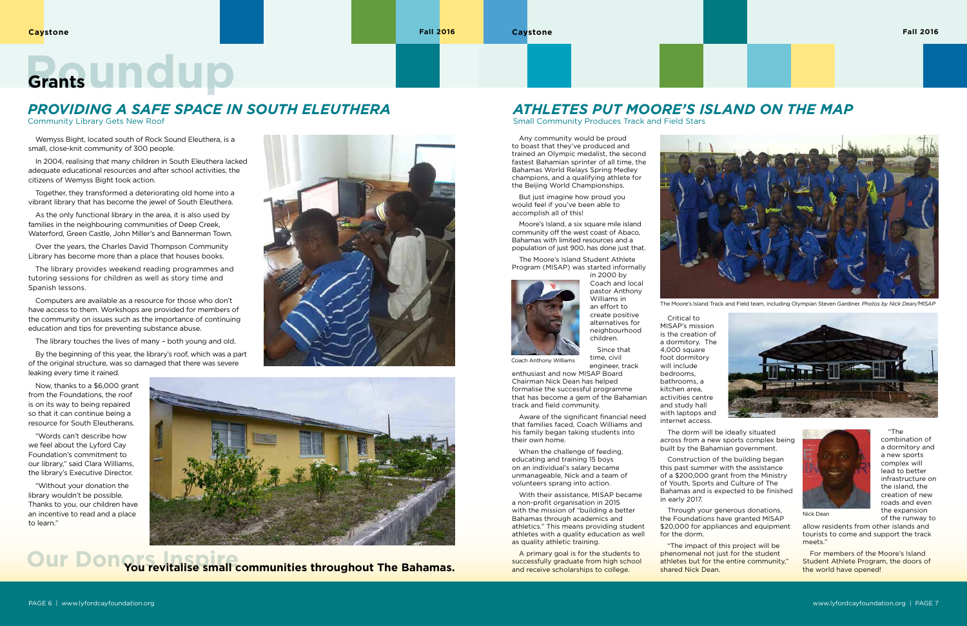Wemyss Bight, located south of Rock Sound Eleuthera, is a small, close-knit community of 300 people.

In 2004, realising that many children in South Eleuthera lacked adequate educational resources and after school activities, the citizens of Wemyss Bight took action.

Together, they transformed a deteriorating old home into a vibrant library that has become the jewel of South Eleuthera.

As the only functional library in the area, it is also used by families in the neighbouring communities of Deep Creek, Waterford, Green Castle, John Miller's and Bannerman Town.

Over the years, the Charles David Thompson Community Library has become more than a place that houses books.

The library provides weekend reading programmes and tutoring sessions for children as well as story time and Spanish lessons.

Computers are available as a resource for those who don't have access to them. Workshops are provided for members of the community on issues such as the importance of continuing education and tips for preventing substance abuse.

The library touches the lives of many – both young and old.

By the beginning of this year, the library's roof, which was a part of the original structure, was so damaged that there was severe leaking every time it rained.

Now, thanks to a \$6,000 grant from the Foundations, the roof is on its way to being repaired so that it can continue being a resource for South Eleutherans.

"Words can't describe how we feel about the Lyford Cay Foundation's commitment to our library," said Clara Williams, the library's Executive Director.

"Without your donation the library wouldn't be possible. Thanks to you, our children have an incentive to read and a place to learn."





Any community would be proud to boast that they've produced and trained an Olympic medalist, the second fastest Bahamian sprinter of all time, the Bahamas World Relays Spring Medley champions, and a qualifying athlete for the Beijing World Championships.

> Through your generous donations, the Foundations have granted MISAP \$20,000 for appliances and equipment



But just imagine how proud you would feel if you've been able to accomplish all of this!

Moore's Island, a six square mile island community off the west coast of Abaco, Bahamas with limited resources and a population of just 900, has done just that.

The Moore's Island Student Athlete Program (MISAP) was started informally



Coach and local pastor Anthony Williams in an effort to create positive alternatives for neighbourhood children.

Since that time, civil engineer, track

enthusiast and now MISAP Board Chairman Nick Dean has helped formalise the successful programme that has become a gem of the Bahamian track and field community.

Aware of the significant financial need that families faced, Coach Williams and his family began taking students into their own home.

When the challenge of feeding, educating and training 15 boys on an individual's salary became unmanageable, Nick and a team of volunteers sprang into action.

With their assistance, MISAP became a non-profit organisation in 2015 with the mission of "building a better Bahamas through academics and athletics." This means providing student athletes with a quality education as well as quality athletic training.

A primary goal is for the students to successfully graduate from high school and receive scholarships to college.



Critical to MISAP's mission is the creation of a dormitory. The 4,000 square foot dormitory will include bedrooms, bathrooms, a kitchen area, activities centre and study hall with laptops and internet access.

The dorm will be ideally situated across from a new sports complex being built by the Bahamian government.

Construction of the building began this past summer with the assistance of a \$200,000 grant from the Ministry of Youth, Sports and Culture of The Bahamas and is expected to be finished in early 2017.

for the dorm.

"The impact of this project will be phenomenal not just for the student athletes but for the entire community," shared Nick Dean.



"The

combination of a dormitory and a new sports complex will lead to better infrastructure on the island, the creation of new roads and even the expansion of the runway to

allow residents from other islands and tourists to come and support the track meets."

For members of the Moore's Island Student Athlete Program, the doors of the world have opened!

The Moore's Island Track and Field team, including Olympian Steven Gardiner. *Photos by Nick Dean/MISAP*







Coach Anthony Williams

## *PROVIDING A SAFE SPACE IN SOUTH ELEUTHERA*

Community Library Gets New Roof

## *ATHLETES PUT MOORE'S ISLAND ON THE MAP*

Small Community Produces Track and Field Stars

# **Grants Undup**

## **Our Donors Inspire You revitalise small communities throughout The Bahamas.**

Nick Dean